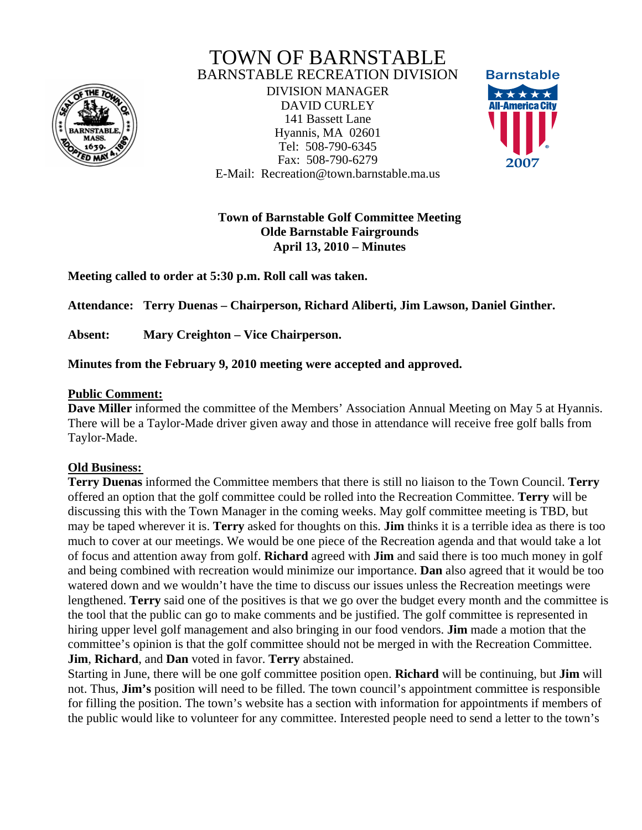

# TOWN OF BARNSTABLE BARNSTABLE RECREATION DIVISION

DIVISION MANAGER DAVID CURLEY 141 Bassett Lane Hyannis, MA 02601 Tel: 508-790-6345 Fax: 508-790-6279 E-Mail: Recreation@town.barnstable.ma.us



**Town of Barnstable Golf Committee Meeting Olde Barnstable Fairgrounds April 13, 2010 – Minutes** 

**Meeting called to order at 5:30 p.m. Roll call was taken.** 

**Attendance: Terry Duenas – Chairperson, Richard Aliberti, Jim Lawson, Daniel Ginther.** 

**Absent: Mary Creighton – Vice Chairperson.** 

**Minutes from the February 9, 2010 meeting were accepted and approved.** 

## **Public Comment:**

**Dave Miller** informed the committee of the Members' Association Annual Meeting on May 5 at Hyannis. There will be a Taylor-Made driver given away and those in attendance will receive free golf balls from Taylor-Made.

## **Old Business:**

**Terry Duenas** informed the Committee members that there is still no liaison to the Town Council. **Terry** offered an option that the golf committee could be rolled into the Recreation Committee. **Terry** will be discussing this with the Town Manager in the coming weeks. May golf committee meeting is TBD, but may be taped wherever it is. **Terry** asked for thoughts on this. **Jim** thinks it is a terrible idea as there is too much to cover at our meetings. We would be one piece of the Recreation agenda and that would take a lot of focus and attention away from golf. **Richard** agreed with **Jim** and said there is too much money in golf and being combined with recreation would minimize our importance. **Dan** also agreed that it would be too watered down and we wouldn't have the time to discuss our issues unless the Recreation meetings were lengthened. **Terry** said one of the positives is that we go over the budget every month and the committee is the tool that the public can go to make comments and be justified. The golf committee is represented in hiring upper level golf management and also bringing in our food vendors. **Jim** made a motion that the committee's opinion is that the golf committee should not be merged in with the Recreation Committee. **Jim**, **Richard**, and **Dan** voted in favor. **Terry** abstained.

Starting in June, there will be one golf committee position open. **Richard** will be continuing, but **Jim** will not. Thus, **Jim's** position will need to be filled. The town council's appointment committee is responsible for filling the position. The town's website has a section with information for appointments if members of the public would like to volunteer for any committee. Interested people need to send a letter to the town's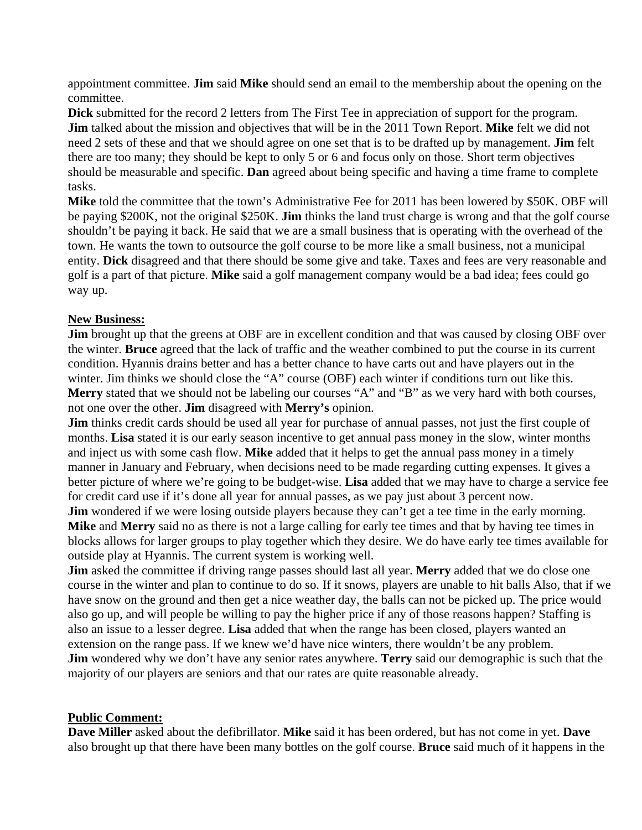appointment committee. **Jim** said **Mike** should send an email to the membership about the opening on the committee.

**Dick** submitted for the record 2 letters from The First Tee in appreciation of support for the program. **Jim** talked about the mission and objectives that will be in the 2011 Town Report. **Mike** felt we did not need 2 sets of these and that we should agree on one set that is to be drafted up by management. **Jim** felt there are too many; they should be kept to only 5 or 6 and focus only on those. Short term objectives should be measurable and specific. **Dan** agreed about being specific and having a time frame to complete tasks.

**Mike** told the committee that the town's Administrative Fee for 2011 has been lowered by \$50K. OBF will be paying \$200K, not the original \$250K. **Jim** thinks the land trust charge is wrong and that the golf course shouldn't be paying it back. He said that we are a small business that is operating with the overhead of the town. He wants the town to outsource the golf course to be more like a small business, not a municipal entity. **Dick** disagreed and that there should be some give and take. Taxes and fees are very reasonable and golf is a part of that picture. **Mike** said a golf management company would be a bad idea; fees could go way up.

#### **New Business:**

**Jim** brought up that the greens at OBF are in excellent condition and that was caused by closing OBF over the winter. **Bruce** agreed that the lack of traffic and the weather combined to put the course in its current condition. Hyannis drains better and has a better chance to have carts out and have players out in the winter. Jim thinks we should close the "A" course (OBF) each winter if conditions turn out like this. **Merry** stated that we should not be labeling our courses "A" and "B" as we very hard with both courses, not one over the other. **Jim** disagreed with **Merry's** opinion.

**Jim** thinks credit cards should be used all year for purchase of annual passes, not just the first couple of months. **Lisa** stated it is our early season incentive to get annual pass money in the slow, winter months and inject us with some cash flow. **Mike** added that it helps to get the annual pass money in a timely manner in January and February, when decisions need to be made regarding cutting expenses. It gives a better picture of where we're going to be budget-wise. **Lisa** added that we may have to charge a service fee for credit card use if it's done all year for annual passes, as we pay just about 3 percent now.

**Jim** wondered if we were losing outside players because they can't get a tee time in the early morning. **Mike** and **Merry** said no as there is not a large calling for early tee times and that by having tee times in blocks allows for larger groups to play together which they desire. We do have early tee times available for outside play at Hyannis. The current system is working well.

**Jim** asked the committee if driving range passes should last all year. **Merry** added that we do close one course in the winter and plan to continue to do so. If it snows, players are unable to hit balls Also, that if we have snow on the ground and then get a nice weather day, the balls can not be picked up. The price would also go up, and will people be willing to pay the higher price if any of those reasons happen? Staffing is also an issue to a lesser degree. **Lisa** added that when the range has been closed, players wanted an extension on the range pass. If we knew we'd have nice winters, there wouldn't be any problem. **Jim** wondered why we don't have any senior rates anywhere. **Terry** said our demographic is such that the majority of our players are seniors and that our rates are quite reasonable already.

#### **Public Comment:**

**Dave Miller** asked about the defibrillator. **Mike** said it has been ordered, but has not come in yet. **Dave** also brought up that there have been many bottles on the golf course. **Bruce** said much of it happens in the